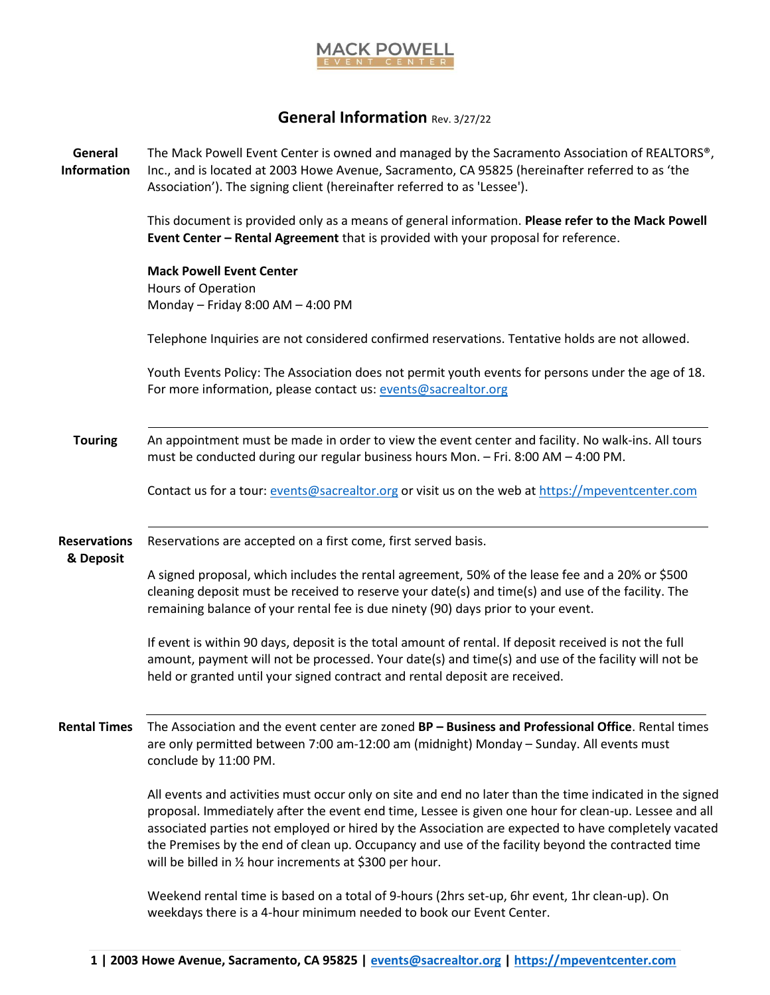

## **General Information** Rev. 3/27/22

The Mack Powell Event Center is owned and managed by the Sacramento Association of REALTORS®,

**General** 

| <b>Information</b>               | Inc., and is located at 2003 Howe Avenue, Sacramento, CA 95825 (hereinafter referred to as 'the<br>Association'). The signing client (hereinafter referred to as 'Lessee').                                                                                                                                                                                                                                                                                                               |
|----------------------------------|-------------------------------------------------------------------------------------------------------------------------------------------------------------------------------------------------------------------------------------------------------------------------------------------------------------------------------------------------------------------------------------------------------------------------------------------------------------------------------------------|
|                                  | This document is provided only as a means of general information. Please refer to the Mack Powell<br>Event Center - Rental Agreement that is provided with your proposal for reference.                                                                                                                                                                                                                                                                                                   |
|                                  | <b>Mack Powell Event Center</b><br>Hours of Operation<br>Monday - Friday 8:00 AM - 4:00 PM                                                                                                                                                                                                                                                                                                                                                                                                |
|                                  | Telephone Inquiries are not considered confirmed reservations. Tentative holds are not allowed.                                                                                                                                                                                                                                                                                                                                                                                           |
|                                  | Youth Events Policy: The Association does not permit youth events for persons under the age of 18.<br>For more information, please contact us: events@sacrealtor.org                                                                                                                                                                                                                                                                                                                      |
| <b>Touring</b>                   | An appointment must be made in order to view the event center and facility. No walk-ins. All tours<br>must be conducted during our regular business hours Mon. - Fri. 8:00 AM - 4:00 PM.                                                                                                                                                                                                                                                                                                  |
|                                  | Contact us for a tour: events@sacrealtor.org or visit us on the web at https://mpeventcenter.com                                                                                                                                                                                                                                                                                                                                                                                          |
| <b>Reservations</b><br>& Deposit | Reservations are accepted on a first come, first served basis.                                                                                                                                                                                                                                                                                                                                                                                                                            |
|                                  | A signed proposal, which includes the rental agreement, 50% of the lease fee and a 20% or \$500<br>cleaning deposit must be received to reserve your date(s) and time(s) and use of the facility. The<br>remaining balance of your rental fee is due ninety (90) days prior to your event.                                                                                                                                                                                                |
|                                  | If event is within 90 days, deposit is the total amount of rental. If deposit received is not the full<br>amount, payment will not be processed. Your date(s) and time(s) and use of the facility will not be<br>held or granted until your signed contract and rental deposit are received.                                                                                                                                                                                              |
|                                  | Rental Times The Association and the event center are zoned BP - Business and Professional Office. Rental times<br>are only permitted between 7:00 am-12:00 am (midnight) Monday - Sunday. All events must<br>conclude by 11:00 PM.                                                                                                                                                                                                                                                       |
|                                  | All events and activities must occur only on site and end no later than the time indicated in the signed<br>proposal. Immediately after the event end time, Lessee is given one hour for clean-up. Lessee and all<br>associated parties not employed or hired by the Association are expected to have completely vacated<br>the Premises by the end of clean up. Occupancy and use of the facility beyond the contracted time<br>will be billed in 1/2 hour increments at \$300 per hour. |
|                                  | Weekend rental time is based on a total of 9-hours (2hrs set-up, 6hr event, 1hr clean-up). On<br>weekdays there is a 4-hour minimum needed to book our Event Center.                                                                                                                                                                                                                                                                                                                      |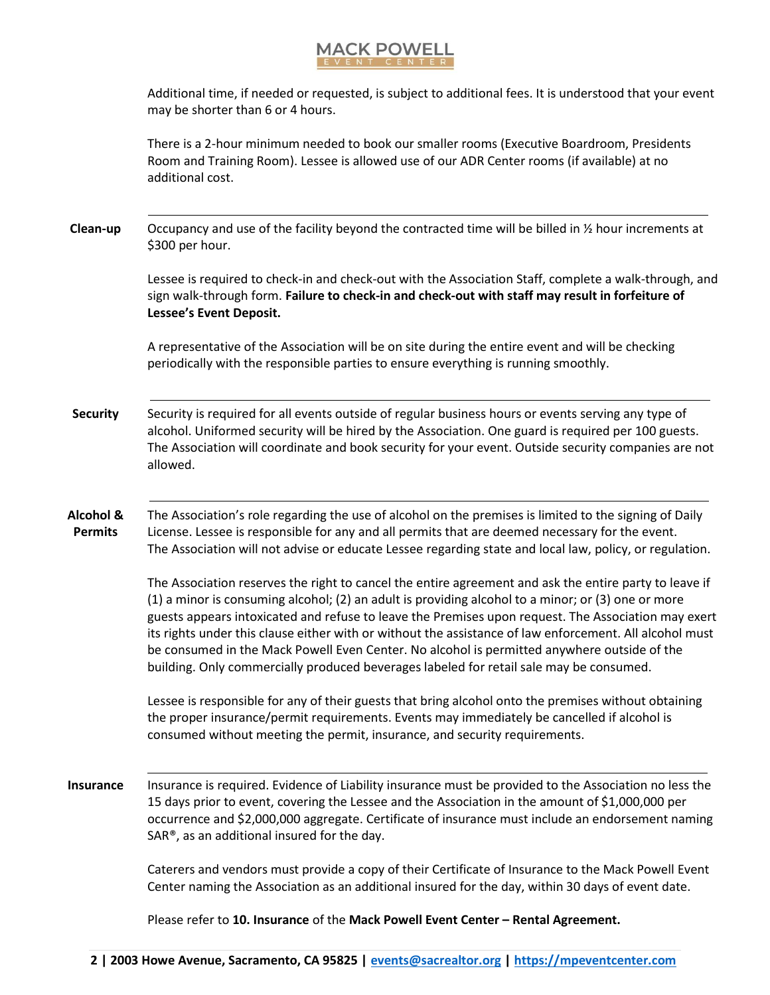## **MACK POWELL**

Additional time, if needed or requested, is subject to additional fees. It is understood that your event may be shorter than 6 or 4 hours.

There is a 2-hour minimum needed to book our smaller rooms (Executive Boardroom, Presidents Room and Training Room). Lessee is allowed use of our ADR Center rooms (if available) at no additional cost.

**Clean-up** Occupancy and use of the facility beyond the contracted time will be billed in ½ hour increments at \$300 per hour.

> Lessee is required to check-in and check-out with the Association Staff, complete a walk-through, and sign walk-through form. **Failure to check-in and check-out with staff may result in forfeiture of Lessee's Event Deposit.**

A representative of the Association will be on site during the entire event and will be checking periodically with the responsible parties to ensure everything is running smoothly.

**Security** Security is required for all events outside of regular business hours or events serving any type of alcohol. Uniformed security will be hired by the Association. One guard is required per 100 guests. The Association will coordinate and book security for your event. Outside security companies are not allowed.

**Alcohol & Permits** The Association's role regarding the use of alcohol on the premises is limited to the signing of Daily License. Lessee is responsible for any and all permits that are deemed necessary for the event. The Association will not advise or educate Lessee regarding state and local law, policy, or regulation.

> The Association reserves the right to cancel the entire agreement and ask the entire party to leave if (1) a minor is consuming alcohol; (2) an adult is providing alcohol to a minor; or (3) one or more guests appears intoxicated and refuse to leave the Premises upon request. The Association may exert its rights under this clause either with or without the assistance of law enforcement. All alcohol must be consumed in the Mack Powell Even Center. No alcohol is permitted anywhere outside of the building. Only commercially produced beverages labeled for retail sale may be consumed.

Lessee is responsible for any of their guests that bring alcohol onto the premises without obtaining the proper insurance/permit requirements. Events may immediately be cancelled if alcohol is consumed without meeting the permit, insurance, and security requirements.

**Insurance** Insurance is required. Evidence of Liability insurance must be provided to the Association no less the 15 days prior to event, covering the Lessee and the Association in the amount of \$1,000,000 per occurrence and \$2,000,000 aggregate. Certificate of insurance must include an endorsement naming SAR®, as an additional insured for the day.

> Caterers and vendors must provide a copy of their Certificate of Insurance to the Mack Powell Event Center naming the Association as an additional insured for the day, within 30 days of event date.

Please refer to **10. Insurance** of the **Mack Powell Event Center – Rental Agreement.**